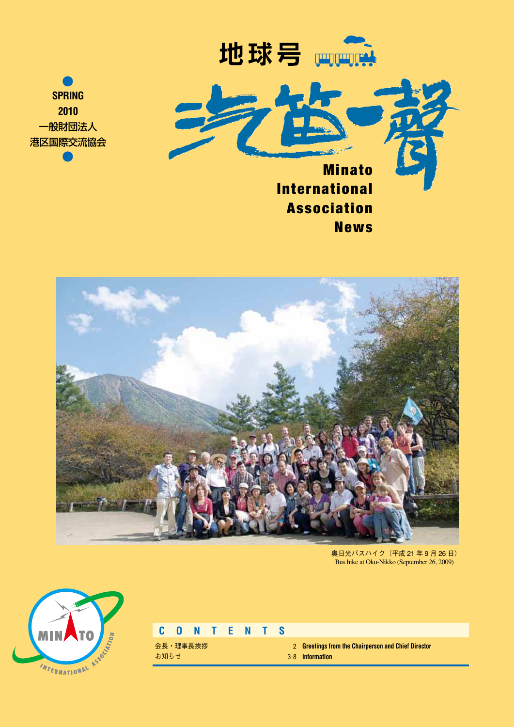





**News** 



奥日光バスハイク(平成 21 年 9 月 26 日) Bus hike at Oku-Nikko (September 26, 2009)



# **C O N T E N T S**

会長・理事長挨拶 お知らせ

**Greetings from the Chairperson and Chief Director** 2 **Information** 3-8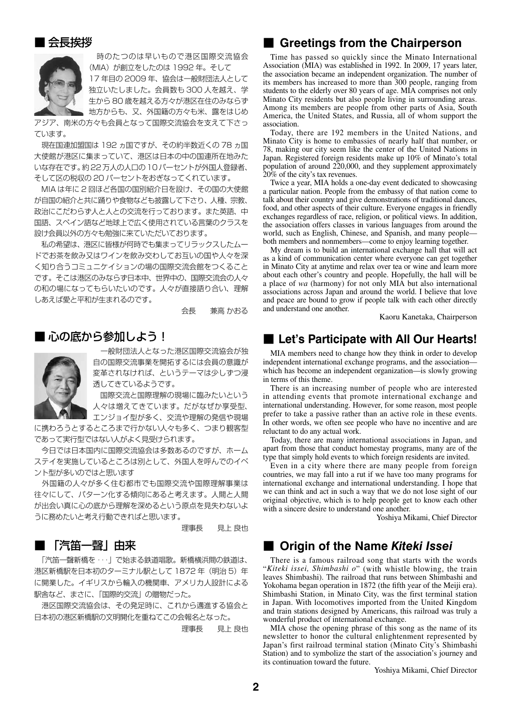## ■ 会長挨拶



 時のたつのは早いもので港区国際交流協会 (MIA) が創立をしたのは 1992年。 そして 17 年目の 2009 年、協会は一般財団法人として 独立いたしました。会員数も 300 人を越え、学 生から 80 歳を越える方々が港区在住のみならず 地方からも、又、外国籍の方々も米、露をはじめ

アジア、南米の方々も会員となって国際交流協会を支えて下さっ ています。

 現在国連加盟国は 192 ヵ国ですが、その約半数近くの 78 ヵ国 大使館が港区に集まっていて、港区は日本の中の国連所在地みた いな存在です。約22万人の人口の10パーセントが外国人登録者、 そして区の税収の 20 パーセントをおぎなってくれています。

 MIA は年に 2 回ほど各国の国別紹介日を設け、その国の大使館 が自国の紹介と共に踊りや食物なども披露して下さり、人種、宗教、 政治にこだわらず人と人との交流を行っております。また英語、中 国語、スペイン語など地球上で広く使用されている言葉のクラスを 設け会員以外の方々も勉強に来ていただいております。

 私の希望は、港区に皆様が何時でも集まってリラックスしたムー ドでお茶を飲み又はワインを飲み交わしてお互いの国や人々を深 く知り合うコミュニケイションの場の国際交流会館をつくること です。そこは港区のみならず日本中、世界中の、国際交流会の人々 の和の場になってもらいたいのです。人々が直接語り合い、理解 しあえば愛と平和が生まれるのです。

会長 兼高 かおる

# ■ 心の底から参加しよう!



一般財団法人となった港区国際交流協会が独 自の国際交流事業を開拓するには会員の意識が 変革されなければ、というテーマは少しずつ浸 透してきているようです。

 国際交流と国際理解の現場に臨みたいという 人々は増えてきています。だがなぜか享受型、

エンジョイ型が多く、交流や理解の発信や現場 に携わろうとするところまで行かない人々も多く、つまり観客型

であって実行型ではない人がよく見受けられます。 今日では日本国内に国際交流協会は多数あるのですが、ホーム ステイを実施しているところは別として、外国人を呼んでのイベ ント型が多いのではと思います

 外国籍の人々が多く住む都市でも国際交流や国際理解事業は 往々にして、パターン化する傾向にあると考えます。人間と人間 が出会い真に心の底から理解を深めるという原点を見失わないよ うに務めたいと考え行動できればと思います。

理事長 見上 良也

# ■ 「汽笛一聲」由来

「汽笛一聲新橋を … | で始まる鉄道唱歌。新橋横浜間の鉄道は、 港区新橋駅を日本初のターミナル駅として 1872年 (明治5)年 に開業した。イギリスから輪入の機関車、アメリカ人設計による 駅舎など、まさに、「国際的交流」の贈物だった。

 港区国際交流協会は、その発足時に、これから邁進する協会と 日本初の港区新橋駅の文明開化を重ねてこの会報名となった。

理事長 見上 良也

# ■ Greetings from the Chairperson

Time has passed so quickly since the Minato International Association (MIA) was established in 1992. In 2009, 17 years later, the association became an independent organization. The number of its members has increased to more than 300 people, ranging from students to the elderly over 80 years of age. MIA comprises not only Minato City residents but also people living in surrounding areas. Among its members are people from other parts of Asia, South America, the United States, and Russia, all of whom support the association.

Today, there are 192 members in the United Nations, and Minato City is home to embassies of nearly half that number, or 78, making our city seem like the center of the United Nations in Japan. Registered foreign residents make up 10% of Minato's total population of around 220,000, and they supplement approximately 20% of the city's tax revenues.

Twice a year, MIA holds a one-day event dedicated to showcasing a particular nation. People from the embassy of that nation come to talk about their country and give demonstrations of traditional dances, food, and other aspects of their culture. Everyone engages in friendly exchanges regardless of race, religion, or political views. In addition, the association offers classes in various languages from around the world, such as English, Chinese, and Spanish, and many people both members and nonmembers—come to enjoy learning together.

My dream is to build an international exchange hall that will act as a kind of communication center where everyone can get together in Minato City at anytime and relax over tea or wine and learn more about each other's country and people. Hopefully, the hall will be a place of *wa* (harmony) for not only MIA but also international associations across Japan and around the world. I believe that love and peace are bound to grow if people talk with each other directly and understand one another.

Kaoru Kanetaka, Chairperson

# ■ Let's Participate with All Our Hearts!

MIA members need to change how they think in order to develop independent international exchange programs, and the association which has become an independent organization—is slowly growing in terms of this theme.

There is an increasing number of people who are interested in attending events that promote international exchange and international understanding. However, for some reason, most people prefer to take a passive rather than an active role in these events. In other words, we often see people who have no incentive and are reluctant to do any actual work.

Today, there are many international associations in Japan, and apart from those that conduct homestay programs, many are of the type that simply hold events to which foreign residents are invited.

Even in a city where there are many people from foreign countries, we may fall into a rut if we have too many programs for international exchange and international understanding. I hope that we can think and act in such a way that we do not lose sight of our original objective, which is to help people get to know each other with a sincere desire to understand one another.

Yoshiya Mikami, Chief Director

# ■ **Origin of the Name Kiteki Issei**

There is a famous railroad song that starts with the words "*Kiteki issei, Shimbashi o*" (with whistle blowing, the train leaves Shimbashi). The railroad that runs between Shimbashi and Yokohama began operation in 1872 (the fifth year of the Meiji era). Shimbashi Station, in Minato City, was the first terminal station in Japan. With locomotives imported from the United Kingdom and train stations designed by Americans, this railroad was truly a wonderful product of international exchange.

MIA chose the opening phrase of this song as the name of its newsletter to honor the cultural enlightenment represented by Japan's first railroad terminal station (Minato City's Shimbashi Station) and to symbolize the start of the association's journey and its continuation toward the future.

Yoshiya Mikami, Chief Director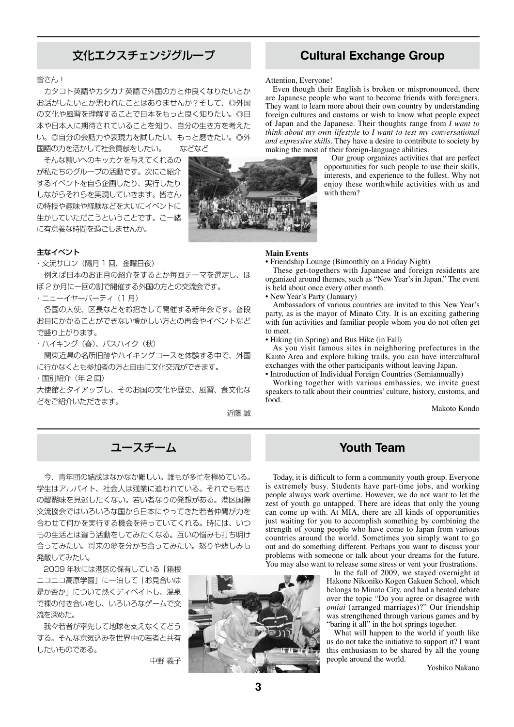# 文化エクスチェンジグループ **Cultural Exchange Group**

### 皆さん!

 カタコト英語やカタカナ英語で外国の方と仲良くなりたいとか お話がしたいとか思われたことはありませんか?そして、◎外国 の文化や風習を理解することで日本をもっと良く知りたい。◎日 本や日本人に期待されていることを知り、自分の生き方を考えた い。◎自分の会話力や表現力を試したい、もっと磨きたい。◎外 国語の力を活かして社会貢献をしたい。 などなど

 そんな願いへのキッカケを与えてくれるの が私たちのグループの活動です。次にご紹介 するイベントを自ら企画したり、実行したり しながらそれらを実現していきます。皆さん の特技や趣味や経験などを大いにイベントに 生かしていただこうということです。ご一緒 に有意義な時間を過ごしませんか。

### 主なイベント

・交流サロン(隔月 1 回、金曜日夜)

 例えば日本のお正月の紹介をするとか毎回テーマを選定し、ほ ぼ 2 か月に一回の割で開催する外国の方との交流会です。

・ニューイヤーパーティ(1 月)

 各国の大使、区長などをお招きして開催する新年会です。普段 お目にかかることができない懐かしい方との再会やイベントなど で盛り上がります。

・ハイキング(春)、バスハイク(秋)

 関東近県の名所旧跡やハイキングコースを体験する中で、外国 に行かなくとも参加者の方と自由に文化交流ができます。

・国別紹介(年 2 回)

大使館とタイアップし、そのお国の文化や歴史、風習、食文化な どをご紹介いただきます。

近藤 誠



Attention, Everyone!

Even though their English is broken or mispronounced, there are Japanese people who want to become friends with foreigners. They want to learn more about their own country by understanding foreign cultures and customs or wish to know what people expect of Japan and the Japanese. Their thoughts range from *I want to think about my own lifestyle* to *I want to test my conversational and expressive skills*. They have a desire to contribute to society by making the most of their foreign-language abilities.

Our group organizes activities that are perfect opportunities for such people to use their skills, interests, and experience to the fullest. Why not enjoy these worthwhile activities with us and with them?

### **Main Events**

• Friendship Lounge (Bimonthly on a Friday Night)

These get-togethers with Japanese and foreign residents are organized around themes, such as "New Year's in Japan." The event is held about once every other month.

• New Year's Party (January)

Ambassadors of various countries are invited to this New Year's party, as is the mayor of Minato City. It is an exciting gathering with fun activities and familiar people whom you do not often get to meet.

• Hiking (in Spring) and Bus Hike (in Fall)

As you visit famous sites in neighboring prefectures in the Kanto Area and explore hiking trails, you can have intercultural exchanges with the other participants without leaving Japan.

• Introduction of Individual Foreign Countries (Semiannually)

Working together with various embassies, we invite guest speakers to talk about their countries' culture, history, customs, and food.

Makoto Kondo

# ユースチーム **Youth Team**

今、青年団の結成はなかなか難しい。誰もが多忙を極めている。 学生はアルバイト、社会人は残業に追われている。それでも若さ の醍醐味を見逃したくない。若い者なりの発想がある。港区国際 交流協会ではいろいろな国から日本にやってきた若者仲間が力を 合わせて何かを実行する機会を待っていてくれる。時には、いつ もの生活とは違う活動をしてみたくなる。互いの悩みも打ち明け 合ってみたい。将来の夢を分かち合ってみたい。怒りや悲しみも 発散してみたい。

 2009 年秋には港区の保有している「箱根 ニコニコ高原学園」に一泊して「お見合いは 是か否か」について熱くディベイトし、温泉 で裸の付き合いをし、いろいろなゲームで交 流を深めた。

 我々若者が率先して地球を支えなくてどう する。そんな意気込みを世界中の若者と共有 したいものである。

中野 義子



Today, it is difficult to form a community youth group. Everyone is extremely busy. Students have part-time jobs, and working people always work overtime. However, we do not want to let the zest of youth go untapped. There are ideas that only the young can come up with. At MIA, there are all kinds of opportunities just waiting for you to accomplish something by combining the strength of young people who have come to Japan from various countries around the world. Sometimes you simply want to go out and do something different. Perhaps you want to discuss your problems with someone or talk about your dreams for the future. You may also want to release some stress or vent your frustrations.

In the fall of 2009, we stayed overnight at Hakone Nikoniko Kogen Gakuen School, which belongs to Minato City, and had a heated debate over the topic "Do you agree or disagree with *omiai* (arranged marriages)?" Our friendship was strengthened through various games and by "baring it all" in the hot springs together.

What will happen to the world if youth like us do not take the initiative to support it? I want this enthusiasm to be shared by all the young people around the world.

Yoshiko Nakano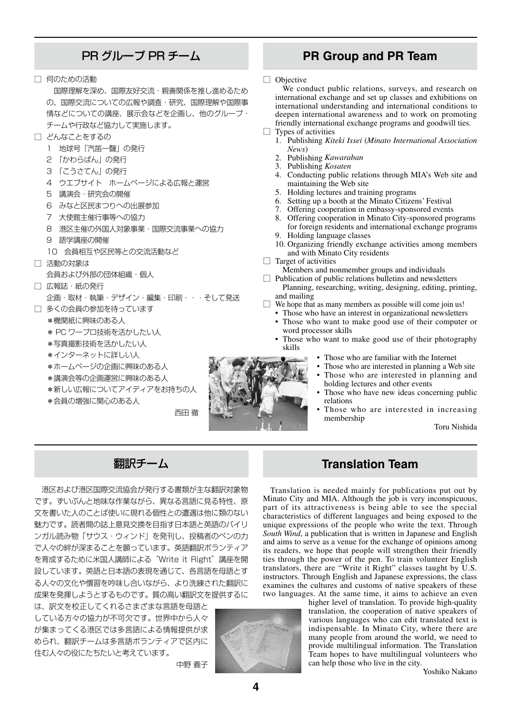□ 何のための活動

 国際理解を深め、国際友好交流・親善関係を推し進めるため の、国際交流についての広報や調査・研究、国際理解や国際事 情などについての講座、展示会などを企画し、他のグループ・ チームや行政など協力して実施します。

- □ どんなことをするの
	- 1 地球号「汽笛一聲」の発行
	- 2 「かわらばん」の発行
	- 3 「こうさてん」の発行
	- 4 ウエブサイト ホームページによる広報と運営
	- 5 講演会・研究会の開催
	- 6 みなと区民まつりへの出展参加
	- 7 大使館主催行事等への協力
	- 8 港区主催の外国人対象事業・国際交流事業への協力
	- 9 語学講座の開催
	- 10 会員相互や区民等との交流活動など
- □ 活動の対象は
	- 会員および外部の団体組織・個人
- □ 広報誌・紙の発行
	- 企画・取材・執筆・デザイン・編集・印刷・・・そして発送
- □ 多くの会員の参加を待っています
	- \*機関紙に興味のある人
	- \* PC ワープロ技術を活かしたい人
	- \*写真撮影技術を活かしたい人
	- \*インターネットに詳しい人
	- \*ホームページの企画に興味のある人
	- \*講演会等の企画運営に興味のある人
	- \*新しい広報についてアイディアをお持ちの人
	- \*会員の増強に関心のある人

西田 徹

中野 義子

# PR グループ PR チーム **PR Group and PR Team**

□ Objective

We conduct public relations, surveys, and research on international exchange and set up classes and exhibitions on international understanding and international conditions to deepen international awareness and to work on promoting friendly international exchange programs and goodwill ties.

- □ Types of activities
	- 1. Publishing *Kiteki Issei* (*Minato International Association News*)
	- 2. Publishing *Kawaraban*
	- 3. Publishing *Kosaten*
	- Conducting public relations through MIA's Web site and maintaining the Web site
	- 5. Holding lectures and training programs
	- 6. Setting up a booth at the Minato Citizens' Festival
	- 7. Offering cooperation in embassy-sponsored events
	- 8. Offering cooperation in Minato City-sponsored programs for foreign residents and international exchange programs
	- 9. Holding language classes
	- 10. Organizing friendly exchange activities among members and with Minato City residents
- $\Box$  Target of activities
	- Members and nonmember groups and individuals
- □ Publication of public relations bulletins and newsletters Planning, researching, writing, designing, editing, printing, and mailing
- $\Box$  We hope that as many members as possible will come join us!
	- Those who have an interest in organizational newsletters
	- Those who want to make good use of their computer or word processor skills
	- Those who want to make good use of their photography skills
		- Those who are familiar with the Internet
		- Those who are interested in planning a Web site
		- Those who are interested in planning and holding lectures and other events
		- Those who have new ideas concerning public relations
		- Those who are interested in increasing membership

Toru Nishida



 港区および港区国際交流協会が発行する書類が主な翻訳対象物 です。ずいぶんと地味な作業ながら、異なる言語に見る特性、原 文を書いた人のことば使いに現れる個性との遭遇は他に類のない 魅力です。読者間の誌上意見交換を目指す日本語と英語のバイリ ンガル読み物「サウス・ウィンド」を発刊し、投稿者のペンの力 で人々の絆が深まることを願っています。英語翻訳ボランティア を育成するために米国人講師による"Write it Right"講座を開 設しています。英語と日本語の表現を通じて、各言語を母語とす る人々の文化や慣習を吟味し合いながら、より洗練された翻訳に 成果を発揮しようとするものです。質の高い翻訳文を提供するに

は、訳文を校正してくれるさまざまな言語を母語と している方々の協力が不可欠です。世界中から人々 が集まってくる港区では多言語による情報提供が求 められ、翻訳チームは多言語ボランティアで区内に 住む人々の役にたちたいと考えています。



# 翻訳チーム **Translation Team**

Translation is needed mainly for publications put out by Minato City and MIA. Although the job is very inconspicuous, part of its attractiveness is being able to see the special characteristics of different languages and being exposed to the unique expressions of the people who write the text. Through *South Wind*, a publication that is written in Japanese and English and aims to serve as a venue for the exchange of opinions among its readers, we hope that people will strengthen their friendly ties through the power of the pen. To train volunteer English translators, there are "Write it Right" classes taught by U.S. instructors. Through English and Japanese expressions, the class examines the cultures and customs of native speakers of these two languages. At the same time, it aims to achieve an even

> higher level of translation. To provide high-quality translation, the cooperation of native speakers of various languages who can edit translated text is indispensable. In Minato City, where there are many people from around the world, we need to provide multilingual information. The Translation Team hopes to have multilingual volunteers who can help those who live in the city.

Yoshiko Nakano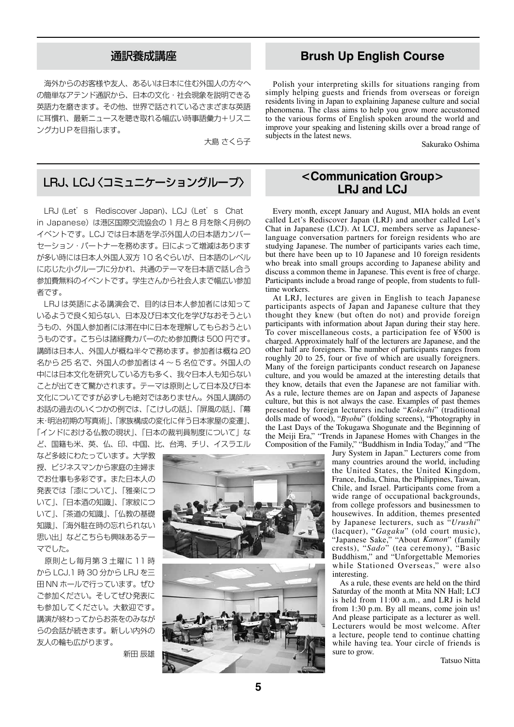海外からのお客様や友人、あるいは日本に住む外国人の方々へ の簡単なアテンド通訳から、日本の文化・社会現象を説明できる 英語力を磨きます。その他、世界で話されているさまざまな英語 に耳慣れ、最新ニュースを聴き取れる幅広い時事語彙力+リスニ ング力UPを目指します。

大島 さくら子

# LRJ、LCJ〈コミュニケーショングループ〉 **<Communication Group>**

LRJ (Let's Rediscover Japan)、LCJ (Let's Chat in Japanese)は港区国際交流協会の 1 月と 8 月を除く月例の イベントです。LCJ では日本語を学ぶ外国人の日本語カンバー セーション・パートナーを務めます。日によって増減はあります が多い時には日本人外国人双方 10 名ぐらいが、日本語のレベル に応じた小グループに分かれ、共通のテーマを日本語で話し合う 参加費無料のイベントです。学生さんから社会人まで幅広い参加 者です。

 LRJ は英語による講演会で、目的は日本人参加者には知って いるようで良く知らない、日本及び日本文化を学びなおそうとい うもの、外国人参加者には滞在中に日本を理解してもらおうとい うものです。こちらは諸経費カバーのため参加費は 500 円です。 講師は日本人、外国人が概ね半々で務めます。参加者は概ね 20 名から 25 名で、外国人の参加者は 4 ~ 5 名位です。外国人の 中には日本文化を研究している方も多く、我々日本人も知らない ことが出てきて驚かされます。テーマは原則として日本及び日本 文化についてですが必ずしも絶対ではありません。外国人講師の お話の過去のいくつかの例では、「こけしの話」、「屏風の話」、「幕 末・明治初期の写真術」、「家族構成の変化に伴う日本家屋の変遷」、 「インドにおける仏教の現状」、「日本の裁判員制度について」な ど、国籍も米、英、仏、印、中国、比、台湾、チリ、イスラエル

など多岐にわたっています。大学教 授、ビジネスマンから家庭の主婦ま でお仕事も多彩です。また日本人の 発表では「漆について」、「雅楽につ いて」、「日本酒の知識」、「家紋につ いて」、「茶道の知識」、「仏教の基礎 知識」、「海外駐在時の忘れられない 思い出」などこちらも興味あるテー マでした。

 原則とし毎月第 3 土曜に 11 時 から LCJ,1 時 30 分から LRJ を三 田 NN ホールで行っています。ぜひ ご参加ください。そしてぜひ発表に も参加してください。大歓迎です。 講演が終わってからお茶をのみなが らの会話が続きます。新しい内外の 友人の輪も広がります。

新田 辰雄



# 通訳養成講座 **Brush Up English Course**

Polish your interpreting skills for situations ranging from simply helping guests and friends from overseas or foreign residents living in Japan to explaining Japanese culture and social phenomena. The class aims to help you grow more accustomed to the various forms of English spoken around the world and improve your speaking and listening skills over a broad range of subjects in the latest news.

Sakurako Oshima

# **LRJ and LCJ**

Every month, except January and August, MIA holds an event called Let's Rediscover Japan (LRJ) and another called Let's Chat in Japanese (LCJ). At LCJ, members serve as Japaneselanguage conversation partners for foreign residents who are studying Japanese. The number of participants varies each time, but there have been up to 10 Japanese and 10 foreign residents who break into small groups according to Japanese ability and discuss a common theme in Japanese. This event is free of charge. Participants include a broad range of people, from students to fulltime workers.

At LRJ, lectures are given in English to teach Japanese participants aspects of Japan and Japanese culture that they thought they knew (but often do not) and provide foreign participants with information about Japan during their stay here. To cover miscellaneous costs, a participation fee of ¥500 is charged. Approximately half of the lecturers are Japanese, and the other half are foreigners. The number of participants ranges from roughly 20 to 25, four or five of which are usually foreigners. Many of the foreign participants conduct research on Japanese culture, and you would be amazed at the interesting details that they know, details that even the Japanese are not familiar with. As a rule, lecture themes are on Japan and aspects of Japanese culture, but this is not always the case. Examples of past themes presented by foreign lecturers include "*Kokeshi*" (traditional dolls made of wood), "*Byobu*" (folding screens), "Photography in the Last Days of the Tokugawa Shogunate and the Beginning of the Meiji Era," "Trends in Japanese Homes with Changes in the Composition of the Family," "Buddhism in India Today," and "The

Jury System in Japan." Lecturers come from many countries around the world, including the United States, the United Kingdom, France, India, China, the Philippines, Taiwan, Chile, and Israel. Participants come from a wide range of occupational backgrounds, from college professors and businessmen to housewives. In addition, themes presented by Japanese lecturers, such as "*Urushi*" (lacquer), "*Gagaku*" (old court music), "Japanese Sake," "About *Kamon*" (family crests), "*Sado*" (tea ceremony), "Basic Buddhism," and "Unforgettable Memories while Stationed Overseas," were also interesting.

As a rule, these events are held on the third Saturday of the month at Mita NN Hall; LCJ is held from 11:00 a.m., and LRJ is held from 1:30 p.m. By all means, come join us! And please participate as a lecturer as well. Lecturers would be most welcome. After a lecture, people tend to continue chatting while having tea. Your circle of friends is sure to grow.

Tatsuo Nitta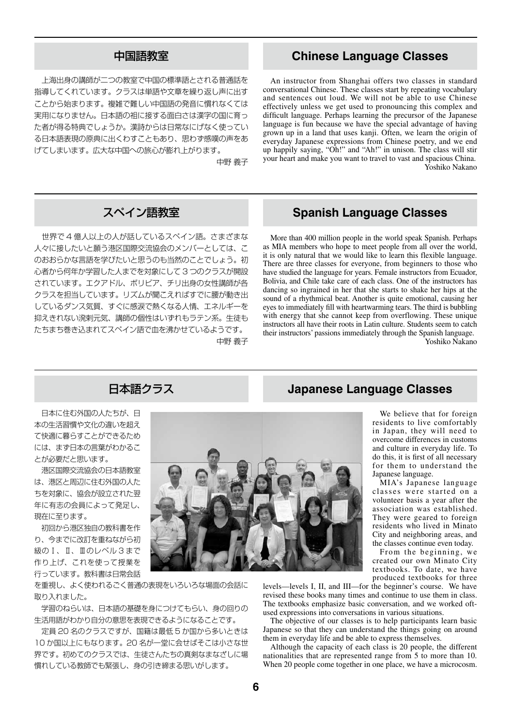上海出身の講師が二つの教室で中国の標準語とされる普通話を 指導してくれています。クラスは単語や文章を繰り返し声に出す ことから始まります。複雑で難しい中国語の発音に慣れなくては 実用になりません。日本語の祖に接する面白さは漢字の国に育っ た者が得る特典でしょうか。漢詩からは日常なにげなく使ってい る日本語表現の原典に出くわすこともあり、思わず感嘆の声をあ げてしまいます。広大な中国への旅心が膨れ上がります。

中野 義子

 世界で 4 億人以上の人が話しているスペイン語。さまざまな 人々に接したいと願う港区国際交流協会のメンバーとしては、こ のおおらかな言語を学びたいと思うのも当然のことでしょう。初 心者から何年か学習した人までを対象にして 3 つのクラスが開設 されています。エクアドル、ボリビア、チリ出身の女性講師が各 クラスを担当しています。リズムが聞こえればすでに腰が動き出 しているダンス気質、すぐに感涙で熱くなる人情、エネルギーを 抑えきれない溌剌元気、講師の個性はいずれもラテン系。生徒も たちまち巻き込まれてスペイン語で血を沸かせているようです。 中野 義子

# 中国語教室 **Chinese Language Classes**

An instructor from Shanghai offers two classes in standard conversational Chinese. These classes start by repeating vocabulary and sentences out loud. We will not be able to use Chinese effectively unless we get used to pronouncing this complex and difficult language. Perhaps learning the precursor of the Japanese language is fun because we have the special advantage of having grown up in a land that uses kanji. Often, we learn the origin of everyday Japanese expressions from Chinese poetry, and we end up happily saying, "Oh!" and "Ah!" in unison. The class will stir your heart and make you want to travel to vast and spacious China. Yoshiko Nakano

# スペイン語教室 **Spanish Language Classes**

More than 400 million people in the world speak Spanish. Perhaps as MIA members who hope to meet people from all over the world, it is only natural that we would like to learn this flexible language. There are three classes for everyone, from beginners to those who have studied the language for years. Female instructors from Ecuador, Bolivia, and Chile take care of each class. One of the instructors has dancing so ingrained in her that she starts to shake her hips at the sound of a rhythmical beat. Another is quite emotional, causing her eyes to immediately fill with heartwarming tears. The third is bubbling with energy that she cannot keep from overflowing. These unique instructors all have their roots in Latin culture. Students seem to catch their instructors' passions immediately through the Spanish language. Yoshiko Nakano

日本に住む外国の人たちが、日 本の生活習慣や文化の違いを超え て快適に暮らすことができるため には、まず日本の言葉がわかるこ とが必要だと思います。

 港区国際交流協会の日本語教室 は、港区と周辺に住む外国の人た ちを対象に、協会が設立された翌 年に有志の会員によって発足し、 現在に至ります。

 初回から港区独自の教科書を作 り、今までに改訂を重ねながら初 級のⅠ、Ⅱ、Ⅲのレベル3まで 作り上げ、これを使って授業を 行っています。教科書は日常会話

を重視し、よく使われるごく普通の表現をいろいろな場面の会話に 取り入れました。

 学習のねらいは、日本語の基礎を身につけてもらい、身の回りの 生活用語がわかり自分の意思を表現できるようになることです。

 定員 20 名のクラスですが、国籍は最低 5 か国から多いときは 10 か国以上にもなります。20 名が一堂に会せばそこは小さな世 界です。初めてのクラスでは、生徒さんたちの真剣なまなざしに場 慣れしている教師でも緊張し、身の引き締まる思いがします。

日本語クラス **Japanese Language Classes**

We believe that for foreign residents to live comfortably in Japan, they will need to overcome differences in customs and culture in everyday life. To do this, it is first of all necessary for them to understand the Japanese language.

MIA's Japanese language classes were started on a volunteer basis a year after the association was established. They were geared to foreign residents who lived in Minato City and neighboring areas, and the classes continue even today.

From the beginning, we created our own Minato City textbooks. To date, we have produced textbooks for three

levels—levels I, II, and III—for the beginner's course. We have revised these books many times and continue to use them in class. The textbooks emphasize basic conversation, and we worked oftused expressions into conversations in various situations.

The objective of our classes is to help participants learn basic Japanese so that they can understand the things going on around them in everyday life and be able to express themselves.

Although the capacity of each class is 20 people, the different nationalities that are represented range from 5 to more than 10. When 20 people come together in one place, we have a microcosm.

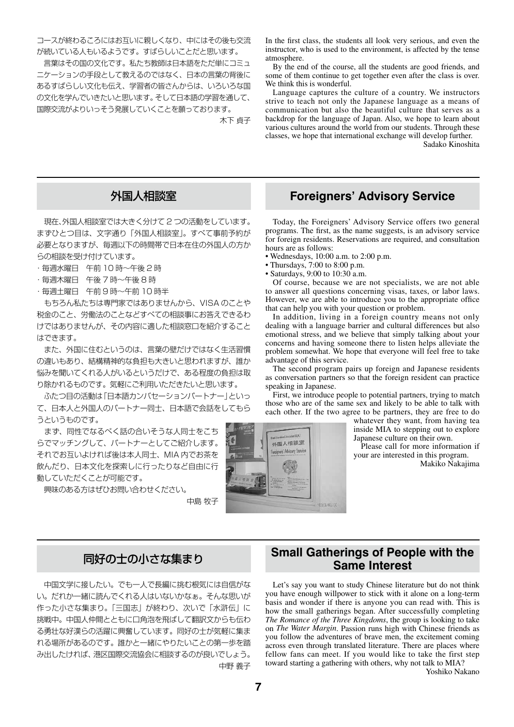コースが終わるころにはお互いに親しくなり、中にはその後も交流 が続いている人もいるようです。すばらしいことだと思います。

 言葉はその国の文化です。私たち教師は日本語をただ単にコミュ ニケーションの手段として教えるのではなく、日本の言葉の背後に あるすばらしい文化も伝え、学習者の皆さんからは、いろいろな国 の文化を学んでいきたいと思います。そして日本語の学習を通して、 国際交流がよりいっそう発展していくことを願っております。

木下 貞子

 現在、外国人相談室では大きく分けて 2 つの活動をしています。 まずひとつ目は、文字通り「外国人相談室」。すべて事前予約が 必要となりますが、毎週以下の時間帯で日本在住の外国人の方か らの相談を受け付けています。

- ・毎週水曜日 午前 10 時~午後 2 時
- ・毎週木曜日 午後 7 時~午後 8 時
- ・毎週土曜日 午前 9 時~午前 10 時半

 もちろん私たちは専門家ではありませんから、VISA のことや 税金のこと、労働法のことなどすべての相談事にお答えできるわ けではありませんが、その内容に適した相談窓口を紹介すること はできます。

 また、外国に住むというのは、言葉の壁だけではなく生活習慣 の違いもあり、結構精神的な負担も大きいと思われますが、誰か 悩みを聞いてくれる人がいるというだけで、ある程度の負担は取 り除かれるものです。気軽にご利用いただきたいと思います。

 ふたつ目の活動は「日本語カンバセーションパートナー」といっ て、日本人と外国人のパートナー同士、日本語で会話をしてもら うというものです。

 まず、同性でなるべく話の合いそうな人同士をこち らでマッチングして、パートナーとしてご紹介します。 それでお互いよければ後は本人同士、MIA 内でお茶を 飲んだり、日本文化を探索しに行ったりなど自由に行 動していただくことが可能です。

興味のある方はぜひお問い合わせください。

中島 牧子



In the first class, the students all look very serious, and even the instructor, who is used to the environment, is affected by the tense atmosphere.

By the end of the course, all the students are good friends, and some of them continue to get together even after the class is over. We think this is wonderful.

Language captures the culture of a country. We instructors strive to teach not only the Japanese language as a means of communication but also the beautiful culture that serves as a backdrop for the language of Japan. Also, we hope to learn about various cultures around the world from our students. Through these classes, we hope that international exchange will develop further.

Sadako Kinoshita

# 外国人相談室 **Foreigners' Advisory Service**

Today, the Foreigners' Advisory Service offers two general programs. The first, as the name suggests, is an advisory service for foreign residents. Reservations are required, and consultation hours are as follows:

• Wednesdays, 10:00 a.m. to 2:00 p.m.

• Thursdays, 7:00 to 8:00 p.m.

• Saturdays,  $9:00$  to  $10:30$  a.m.

Of course, because we are not specialists, we are not able to answer all questions concerning visas, taxes, or labor laws. However, we are able to introduce you to the appropriate office that can help you with your question or problem.

In addition, living in a foreign country means not only dealing with a language barrier and cultural differences but also emotional stress, and we believe that simply talking about your concerns and having someone there to listen helps alleviate the problem somewhat. We hope that everyone will feel free to take advantage of this service.

The second program pairs up foreign and Japanese residents as conversation partners so that the foreign resident can practice speaking in Japanese.

First, we introduce people to potential partners, trying to match those who are of the same sex and likely to be able to talk with each other. If the two agree to be partners, they are free to do

> whatever they want, from having tea inside MIA to stepping out to explore Japanese culture on their own.

> Please call for more information if your are interested in this program. Makiko Nakajima

 中国文学に接したい。でも一人で長編に挑む根気には自信がな い。だれか一緒に読んでくれる人はいないかなぁ。そんな思いが 作った小さな集まり。「三国志」が終わり、次いで「水滸伝」に 挑戦中。中国人仲間とともに口角泡を飛ばして翻訳文からも伝わ る勇壮な好漢らの活躍に興奮しています。同好の士が気軽に集ま れる場所があるのです。誰かと一緒にやりたいことの第一歩を踏 み出したければ、港区国際交流協会に相談するのが良いでしょう。 中野 義子

# 同好の士の小さな集まり **Small Gatherings of People with the Same Interest**

Let's say you want to study Chinese literature but do not think you have enough willpower to stick with it alone on a long-term basis and wonder if there is anyone you can read with. This is how the small gatherings began. After successfully completing *The Romance of the Three Kingdoms*, the group is looking to take on *The Water Margin*. Passion runs high with Chinese friends as you follow the adventures of brave men, the excitement coming across even through translated literature. There are places where fellow fans can meet. If you would like to take the first step toward starting a gathering with others, why not talk to MIA?

Yoshiko Nakano